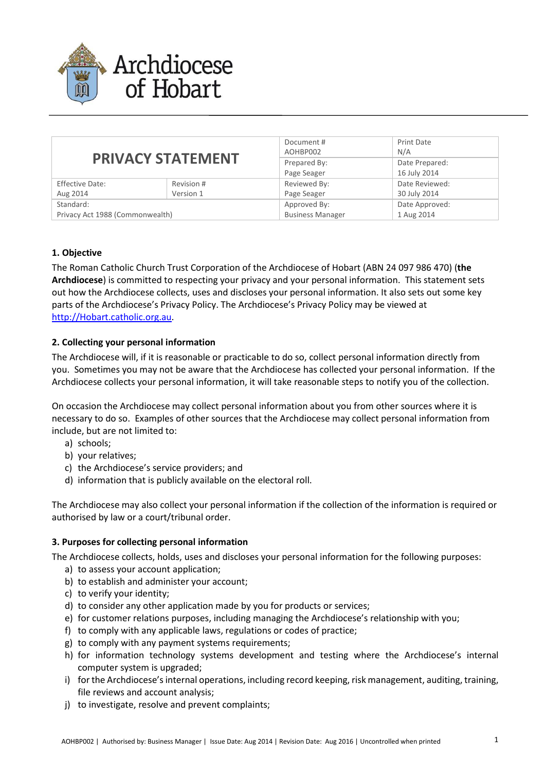

| <b>PRIVACY STATEMENT</b>        |            | Document #<br>AOHBP002  | <b>Print Date</b><br>N/A |
|---------------------------------|------------|-------------------------|--------------------------|
|                                 |            | Prepared By:            | Date Prepared:           |
|                                 |            | Page Seager             | 16 July 2014             |
| <b>Effective Date:</b>          | Revision # | Reviewed By:            | Date Reviewed:           |
| Aug 2014                        | Version 1  | Page Seager             | 30 July 2014             |
| Standard:                       |            | Approved By:            | Date Approved:           |
| Privacy Act 1988 (Commonwealth) |            | <b>Business Manager</b> | 1 Aug 2014               |

# **1. Objective**

The Roman Catholic Church Trust Corporation of the Archdiocese of Hobart (ABN 24 097 986 470) (**the Archdiocese**) is committed to respecting your privacy and your personal information. This statement sets out how the Archdiocese collects, uses and discloses your personal information. It also sets out some key parts of the Archdiocese's Privacy Policy. The Archdiocese's Privacy Policy may be viewed at http://Hobart.catholic.org.au.

### **2. Collecting your personal information**

The Archdiocese will, if it is reasonable or practicable to do so, collect personal information directly from you. Sometimes you may not be aware that the Archdiocese has collected your personal information. If the Archdiocese collects your personal information, it will take reasonable steps to notify you of the collection.

On occasion the Archdiocese may collect personal information about you from other sources where it is necessary to do so. Examples of other sources that the Archdiocese may collect personal information from include, but are not limited to:

- a) schools;
- b) your relatives;
- c) the Archdiocese's service providers; and
- d) information that is publicly available on the electoral roll.

The Archdiocese may also collect your personal information if the collection of the information is required or authorised by law or a court/tribunal order.

### **3. Purposes for collecting personal information**

The Archdiocese collects, holds, uses and discloses your personal information for the following purposes:

- a) to assess your account application;
- b) to establish and administer your account;
- c) to verify your identity;
- d) to consider any other application made by you for products or services;
- e) for customer relations purposes, including managing the Archdiocese's relationship with you;
- f) to comply with any applicable laws, regulations or codes of practice;
- g) to comply with any payment systems requirements;
- h) for information technology systems development and testing where the Archdiocese's internal computer system is upgraded;
- i) for the Archdiocese's internal operations, including record keeping, risk management, auditing, training, file reviews and account analysis;
- j) to investigate, resolve and prevent complaints;